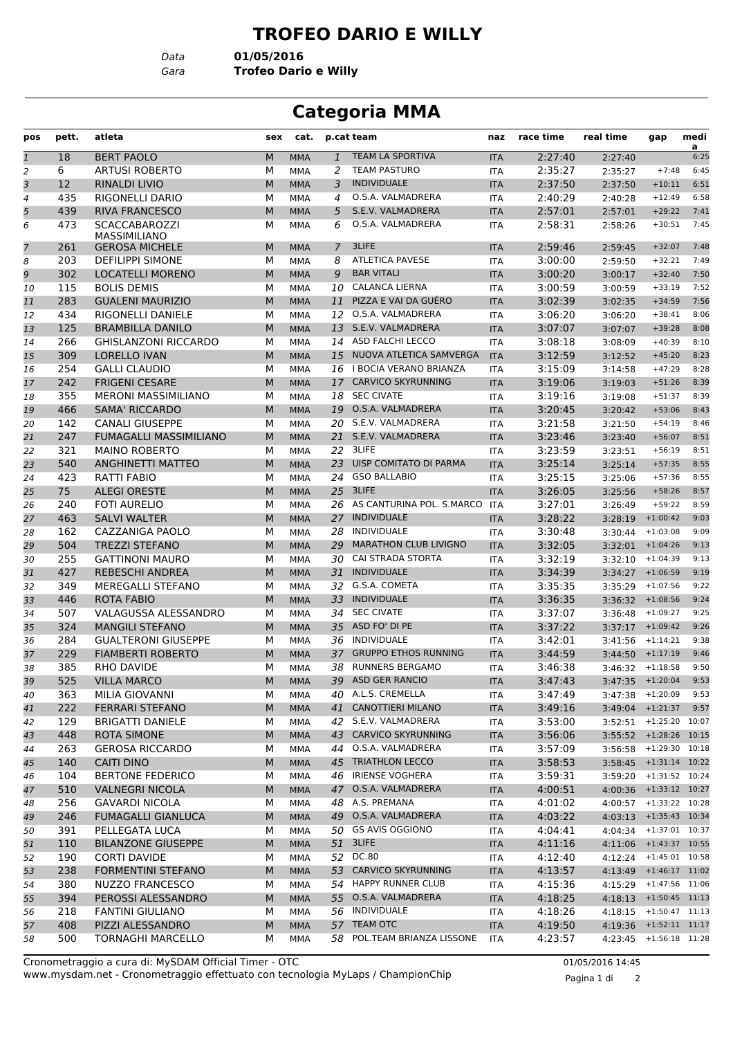## **TROFEO DARIO E WILLY**

*Data* **01/05/2016**

*Gara* **Trofeo Dario e Willy**

## **Categoria MMA**

| pos            | pett.      | atleta                                          | sex    | cat.                     |                 | p.cat team                                  | naz               | race time          | real time          | gap                                      | medi<br>a |
|----------------|------------|-------------------------------------------------|--------|--------------------------|-----------------|---------------------------------------------|-------------------|--------------------|--------------------|------------------------------------------|-----------|
| $\mathfrak 1$  | 18         | <b>BERT PAOLO</b>                               | M      | <b>MMA</b>               | $\mathbf{1}$    | TEAM LA SPORTIVA                            | <b>ITA</b>        | 2:27:40            | 2:27:40            |                                          | 6:25      |
| $\overline{2}$ | 6          | <b>ARTUSI ROBERTO</b>                           | M      | MMA                      | 2               | <b>TEAM PASTURO</b>                         | <b>ITA</b>        | 2:35:27            | 2:35:27            | $+7:48$                                  | 6:45      |
| 3              | 12         | <b>RINALDI LIVIO</b>                            | M      | <b>MMA</b>               | 3               | <b>INDIVIDUALE</b>                          | <b>ITA</b>        | 2:37:50            | 2:37:50            | $+10:11$                                 | 6:51      |
| $\overline{4}$ | 435        | <b>RIGONELLI DARIO</b>                          | м      | <b>MMA</b>               | 4               | O.S.A. VALMADRERA                           | <b>ITA</b>        | 2:40:29            | 2:40:28            | $+12:49$                                 | 6:58      |
| 5              | 439        | <b>RIVA FRANCESCO</b>                           | M      | <b>MMA</b>               | 5               | S.E.V. VALMADRERA                           | <b>ITA</b>        | 2:57:01            | 2:57:01            | $+29:22$                                 | 7:41      |
| 6              | 473        | <b>SCACCABAROZZI</b><br><b>MASSIMILIANO</b>     | M      | <b>MMA</b>               | 6               | O.S.A. VALMADRERA                           | <b>ITA</b>        | 2:58:31            | 2:58:26            | $+30:51$                                 | 7:45      |
| $\overline{7}$ | 261        | <b>GEROSA MICHELE</b>                           | M      | <b>MMA</b>               | $\overline{7}$  | 3LIFE                                       | <b>ITA</b>        | 2:59:46            | 2:59:45            | $+32:07$                                 | 7:48      |
| 8              | 203        | <b>DEFILIPPI SIMONE</b>                         | м      | <b>MMA</b>               | 8               | <b>ATLETICA PAVESE</b>                      | <b>ITA</b>        | 3:00:00            | 2:59:50            | $+32:21$                                 | 7:49      |
| 9              | 302        | <b>LOCATELLI MORENO</b>                         | M      | <b>MMA</b>               | 9               | <b>BAR VITALI</b>                           | <b>ITA</b>        | 3:00:20            | 3:00:17            | $+32:40$                                 | 7:50      |
| 10             | 115        | <b>BOLIS DEMIS</b>                              | M      | <b>MMA</b>               |                 | 10 CALANCA LIERNA                           | <b>ITA</b>        | 3:00:59            | 3:00:59            | $+33:19$                                 | 7:52      |
| 11             | 283        | <b>GUALENI MAURIZIO</b>                         | M      | <b>MMA</b>               | 11              | PIZZA E VAI DA GUÉRO                        | <b>ITA</b>        | 3:02:39            | 3:02:35            | $+34:59$                                 | 7:56      |
| 12             | 434        | <b>RIGONELLI DANIELE</b>                        | м      | <b>MMA</b>               | 12              | O.S.A. VALMADRERA                           | <b>ITA</b>        | 3:06:20            | 3:06:20            | $+38:41$                                 | 8:06      |
| 13             | 125        | <b>BRAMBILLA DANILO</b>                         | M      | <b>MMA</b>               | 13              | S.E.V. VALMADRERA                           | <b>ITA</b>        | 3:07:07            | 3:07:07            | $+39:28$                                 | 8:08      |
| 14             | 266        | <b>GHISLANZONI RICCARDO</b>                     | м      | <b>MMA</b>               | 14              | ASD FALCHI LECCO                            | <b>ITA</b>        | 3:08:18            | 3:08:09            | $+40:39$                                 | 8:10      |
| 15             | 309        | <b>LORELLO IVAN</b>                             | M      | <b>MMA</b>               | 15              | NUOVA ATLETICA SAMVERGA                     | <b>ITA</b>        | 3:12:59            | 3:12:52            | $+45:20$                                 | 8:23      |
| 16             | 254        | <b>GALLI CLAUDIO</b>                            | M      | <b>MMA</b>               |                 | 16 I BOCIA VERANO BRIANZA                   | <b>ITA</b>        | 3:15:09            | 3:14:58            | $+47:29$                                 | 8:28      |
| 17             | 242        | <b>FRIGENI CESARE</b>                           | M      | <b>MMA</b>               |                 | 17 CARVICO SKYRUNNING                       | <b>ITA</b>        | 3:19:06            | 3:19:03            | $+51:26$                                 | 8:39      |
| 18             | 355        | <b>MERONI MASSIMILIANO</b>                      | M      | <b>MMA</b>               | 18              | <b>SEC CIVATE</b>                           | <b>ITA</b>        | 3:19:16            | 3:19:08            | $+51:37$                                 | 8:39      |
| 19             | 466        | <b>SAMA' RICCARDO</b>                           | M      | <b>MMA</b>               | 19              | O.S.A. VALMADRERA                           | <b>ITA</b>        | 3:20:45            | 3:20:42            | $+53:06$                                 | 8:43      |
| 20             | 142        | <b>CANALI GIUSEPPE</b>                          | м      | <b>MMA</b>               | 20              | S.E.V. VALMADRERA                           | <b>ITA</b>        | 3:21:58            | 3:21:50            | $+54:19$                                 | 8:46      |
| 21             | 247        | <b>FUMAGALLI MASSIMILIANO</b>                   | M      | <b>MMA</b>               | 21              | S.E.V. VALMADRERA                           | <b>ITA</b>        | 3:23:46            | 3:23:40            | $+56:07$                                 | 8:51      |
| 22             | 321        | <b>MAINO ROBERTO</b>                            | M      | <b>MMA</b>               | 22              | 3LIFE                                       | <b>ITA</b>        | 3:23:59            | 3:23:51            | $+56:19$                                 | 8:51      |
| 23             | 540        | <b>ANGHINETTI MATTEO</b>                        | M      | <b>MMA</b>               | 23              | UISP COMITATO DI PARMA                      | <b>ITA</b>        | 3:25:14            | 3:25:14            | $+57:35$                                 | 8:55      |
| 24             | 423        | <b>RATTI FABIO</b>                              | м      | <b>MMA</b>               | 24              | <b>GSO BALLABIO</b>                         | <b>ITA</b>        | 3:25:15            | 3:25:06            | $+57:36$                                 | 8:55      |
| 25             | 75         | <b>ALEGI ORESTE</b>                             | M      | <b>MMA</b>               | 25 <sub>2</sub> | 3LIFE                                       | <b>ITA</b>        | 3:26:05            | 3:25:56            | $+58:26$                                 | 8:57      |
| 26             | 240        | <b>FOTI AURELIO</b>                             | м      | <b>MMA</b>               |                 | 26 AS CANTURINA POL. S.MARCO                | <b>ITA</b>        | 3:27:01            | 3:26:49            | $+59:22$                                 | 8:59      |
| 27             | 463        | <b>SALVI WALTER</b>                             | M      | <b>MMA</b>               | 27              | <b>INDIVIDUALE</b>                          | <b>ITA</b>        | 3:28:22            | 3:28:19            | $+1:00:42$                               | 9:03      |
| 28             | 162        | CAZZANIGA PAOLO                                 | M      | <b>MMA</b>               | 28              | INDIVIDUALE                                 | <b>ITA</b>        | 3:30:48            | 3:30:44            | $+1:03:08$                               | 9:09      |
| 29             | 504        | <b>TREZZI STEFANO</b>                           | M      | <b>MMA</b>               | 29              | <b>MARATHON CLUB LIVIGNO</b>                | <b>ITA</b>        | 3:32:05            | 3:32:01            | $+1:04:26$                               | 9:13      |
| 30             | 255        | <b>GATTINONI MAURO</b>                          | м      | <b>MMA</b>               | 30              | <b>CAI STRADA STORTA</b>                    | <b>ITA</b>        | 3:32:19            | 3:32:10            | $+1:04:39$                               | 9:13      |
| 31             | 427        | <b>REBESCHI ANDREA</b>                          | M      | <b>MMA</b>               | 31              | <b>INDIVIDUALE</b>                          | <b>ITA</b>        | 3:34:39            | 3:34:27            | $+1:06:59$                               | 9:19      |
| 32             | 349        | MEREGALLI STEFANO                               | м      | <b>MMA</b>               | 32              | G.S.A. COMETA                               | <b>ITA</b>        | 3:35:35            | 3:35:29            | $+1:07:56$                               | 9:22      |
| 33             | 446        | <b>ROTA FABIO</b>                               | M      | <b>MMA</b>               | 33              | <b>INDIVIDUALE</b>                          | <b>ITA</b>        | 3:36:35            | 3:36:32            | $+1:08:56$                               | 9:24      |
| 34             | 507        | VALAGUSSA ALESSANDRO                            | М      | <b>MMA</b>               |                 | 34 SEC CIVATE                               | <b>ITA</b>        | 3:37:07            | 3:36:48            | $+1:09:27$                               | 9:25      |
| 35             | 324        | <b>MANGILI STEFANO</b>                          | M      | <b>MMA</b>               | 35              | ASD FO' DI PE                               | <b>ITA</b>        | 3:37:22            | 3:37:17            | $+1:09:42$                               | 9:26      |
| 36             | 284        | <b>GUALTERONI GIUSEPPE</b>                      | м      | MMA                      | 36              | <b>INDIVIDUALE</b>                          | <b>ITA</b>        | 3:42:01            | 3:41:56            | $+1:14:21$                               | 9:38      |
| 37             | 229        | <b>FIAMBERTI ROBERTO</b>                        | M      | <b>MMA</b>               | 37              | <b>GRUPPO ETHOS RUNNING</b>                 | <b>ITA</b>        | 3:44:59            | 3:44:50            | $+1:17:19$                               | 9:46      |
| 38             | 385        | RHO DAVIDE                                      | М      | <b>MMA</b>               | 38              | <b>RUNNERS BERGAMO</b><br>39 ASD GER RANCIO | <b>ITA</b>        | 3:46:38            |                    | $3:46:32$ +1:18:58                       | 9:50      |
| 39             | 525        | <b>VILLA MARCO</b>                              | M      | <b>MMA</b>               |                 | 40 A.L.S. CREMELLA                          | <b>ITA</b>        | 3:47:43            |                    | $3:47:35$ +1:20:04                       | 9:53      |
| 40             | 363        | <b>MILIA GIOVANNI</b><br><b>FERRARI STEFANO</b> | М      | MMA                      |                 | 41 CANOTTIERI MILANO                        | ITA               | 3:47:49            |                    | $3:47:38$ +1:20:09<br>$3:49:04$ +1:21:37 | 9:53      |
| 41             | 222        |                                                 | M      | <b>MMA</b>               |                 | 42 S.E.V. VALMADRERA                        | <b>ITA</b>        | 3:49:16            |                    | 3:52:51 +1:25:20 10:07                   | 9:57      |
| 42             | 129        | BRIGATTI DANIELE                                | м      | MMA                      |                 | 43 CARVICO SKYRUNNING                       | ITA               | 3:53:00            |                    | 3:55:52 +1:28:26 10:15                   |           |
| 43             | 448        | <b>ROTA SIMONE</b>                              | M      | <b>MMA</b>               |                 | 44 O.S.A. VALMADRERA                        | <b>ITA</b>        | 3:56:06            |                    | $3:56:58$ +1:29:30 10:18                 |           |
| 44             | 263        | <b>GEROSA RICCARDO</b>                          | м      | MMA                      |                 | 45 TRIATHLON LECCO                          | ITA               | 3:57:09            |                    | 3:58:45 +1:31:14 10:22                   |           |
| 45             | 140<br>104 | <b>CAITI DINO</b><br><b>BERTONE FEDERICO</b>    | M<br>М | <b>MMA</b><br><b>MMA</b> |                 | 46 IRIENSE VOGHERA                          | <b>ITA</b>        | 3:58:53<br>3:59:31 |                    | 3:59:20 +1:31:52 10:24                   |           |
| 46             | 510        | <b>VALNEGRI NICOLA</b>                          | M      |                          |                 | 47 O.S.A. VALMADRERA                        | ITA               | 4:00:51            |                    | 4:00:36 +1:33:12 10:27                   |           |
| 47             | 256        | <b>GAVARDI NICOLA</b>                           |        | <b>MMA</b><br>MMA        |                 | 48 A.S. PREMANA                             | <b>ITA</b>        | 4:01:02            |                    | 4:00:57 +1:33:22 10:28                   |           |
| 48             | 246        | <b>FUMAGALLI GIANLUCA</b>                       | М<br>M |                          |                 | 49 O.S.A. VALMADRERA                        | ITA<br><b>ITA</b> | 4:03:22            |                    | 4:03:13 +1:35:43 10:34                   |           |
| 49             |            |                                                 |        | <b>MMA</b>               |                 | 50 GS AVIS OGGIONO                          |                   | 4:04:41            |                    |                                          |           |
| 50<br>51       | 391<br>110 | PELLEGATA LUCA<br><b>BILANZONE GIUSEPPE</b>     | м<br>M | MMA<br><b>MMA</b>        |                 | 51 3LIFE                                    | ITA<br><b>ITA</b> | 4:11:16            | 4:04:34<br>4:11:06 | $+1:37:01$ 10:37<br>$+1:43:37$ 10:55     |           |
|                | 190        | <b>CORTI DAVIDE</b>                             |        | MMA                      |                 | 52 DC.80                                    |                   | 4:12:40            |                    | 4:12:24 +1:45:01 10:58                   |           |
| 52             | 238        | <b>FORMENTINI STEFANO</b>                       | М<br>M | <b>MMA</b>               | 53              | <b>CARVICO SKYRUNNING</b>                   | ITA               | 4:13:57            |                    | 4:13:49 +1:46:17 11:02                   |           |
| 53<br>54       | 380        | NUZZO FRANCESCO                                 | М      | MMA                      | 54              | HAPPY RUNNER CLUB                           | <b>ITA</b><br>ITA | 4:15:36            | 4:15:29            | $+1:47:56$ 11:06                         |           |
| 55             | 394        | PEROSSI ALESSANDRO                              | M      | <b>MMA</b>               |                 | 55 O.S.A. VALMADRERA                        | <b>ITA</b>        | 4:18:25            | 4:18:13            | $+1:50:45$ 11:13                         |           |
| 56             | 218        | <b>FANTINI GIULIANO</b>                         | м      | MMA                      |                 | 56 INDIVIDUALE                              | ITA               | 4:18:26            |                    | $4:18:15$ $+1:50:47$ $11:13$             |           |
| 57             | 408        | PIZZI ALESSANDRO                                | M      | <b>MMA</b>               |                 | 57 TEAM OTC                                 | <b>ITA</b>        | 4:19:50            |                    | 4:19:36 +1:52:11 11:17                   |           |
| 58             | 500        | <b>TORNAGHI MARCELLO</b>                        | М      | MMA                      |                 | 58 POL.TEAM BRIANZA LISSONE                 | ITA               | 4:23:57            |                    | 4:23:45 +1:56:18 11:28                   |           |
|                |            |                                                 |        |                          |                 |                                             |                   |                    |                    |                                          |           |

www.mysdam.net - Cronometraggio effettuato con tecnologia MyLaps / ChampionChip Cronometraggio a cura di: MySDAM Official Timer - OTC 01/05/2016 14:45

Pagina 1 di 2